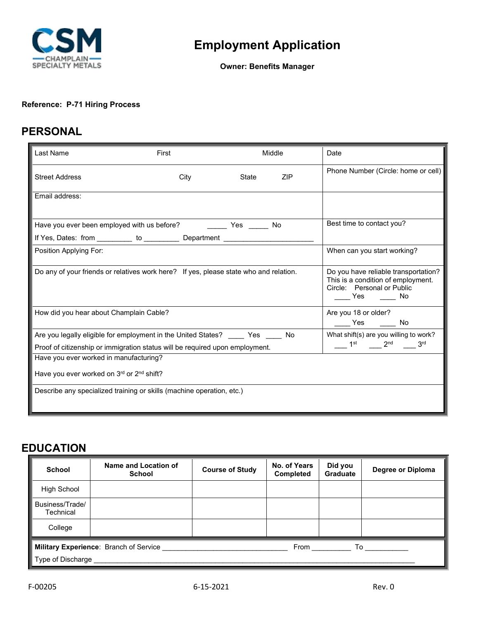

**Owner: Benefits Manager**

#### **Reference: P-71 Hiring Process**

## **PERSONAL**

| Last Name                                                                                             | First                                                                                     |              | Middle | Date                                                                                                               |  |  |
|-------------------------------------------------------------------------------------------------------|-------------------------------------------------------------------------------------------|--------------|--------|--------------------------------------------------------------------------------------------------------------------|--|--|
| <b>Street Address</b>                                                                                 | City                                                                                      | <b>State</b> | ZIP    | Phone Number (Circle: home or cell)                                                                                |  |  |
| Email address:                                                                                        |                                                                                           |              |        |                                                                                                                    |  |  |
| Have you ever been employed with us before? The State State State State State State State State State | Best time to contact you?                                                                 |              |        |                                                                                                                    |  |  |
|                                                                                                       | If Yes, Dates: from __________ to ____________ Department ________________                |              |        |                                                                                                                    |  |  |
| Position Applying For:                                                                                |                                                                                           |              |        | When can you start working?                                                                                        |  |  |
|                                                                                                       | Do any of your friends or relatives work here? If yes, please state who and relation.     |              |        | Do you have reliable transportation?<br>This is a condition of employment.<br>Circle: Personal or Public<br>Yes No |  |  |
| How did you hear about Champlain Cable?                                                               |                                                                                           |              |        | Are you 18 or older?<br>______ Yes _______ No                                                                      |  |  |
|                                                                                                       | Are you legally eligible for employment in the United States? _____ Yes _____ No          |              |        | What shift(s) are you willing to work?                                                                             |  |  |
| Proof of citizenship or immigration status will be required upon employment.                          | $\frac{1}{2}$ 1 <sup>st</sup> $\frac{1}{2}$ 2 <sup>nd</sup> $\frac{1}{2}$ 3 <sup>rd</sup> |              |        |                                                                                                                    |  |  |
| Have you ever worked in manufacturing?                                                                |                                                                                           |              |        |                                                                                                                    |  |  |
| Have you ever worked on 3rd or 2nd shift?                                                             |                                                                                           |              |        |                                                                                                                    |  |  |
| Describe any specialized training or skills (machine operation, etc.)                                 |                                                                                           |              |        |                                                                                                                    |  |  |

### **EDUCATION**

| <b>School</b>                                                                                                                                                                                                                                                                                        | Name and Location of<br><b>School</b> | <b>Course of Study</b> | No. of Years<br><b>Completed</b> | Did you<br><b>Graduate</b> | Degree or Diploma |  |
|------------------------------------------------------------------------------------------------------------------------------------------------------------------------------------------------------------------------------------------------------------------------------------------------------|---------------------------------------|------------------------|----------------------------------|----------------------------|-------------------|--|
| <b>High School</b>                                                                                                                                                                                                                                                                                   |                                       |                        |                                  |                            |                   |  |
| Business/Trade/<br>Technical                                                                                                                                                                                                                                                                         |                                       |                        |                                  |                            |                   |  |
| College                                                                                                                                                                                                                                                                                              |                                       |                        |                                  |                            |                   |  |
| <b>Military Experience: Branch of Service</b><br>From the control of the state of the state of the state of the state of the state of the state of the state of the state of the state of the state of the state of the state of the state of the state of the state of the sta<br>To ______________ |                                       |                        |                                  |                            |                   |  |
| $\parallel$ Type of Discharge $\parallel$                                                                                                                                                                                                                                                            |                                       |                        |                                  |                            |                   |  |